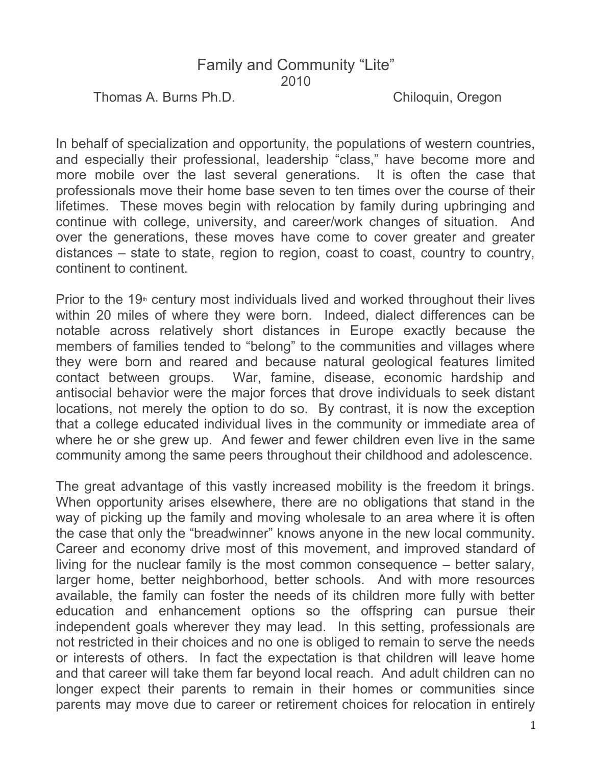## Family and Community "Lite" 2010

Thomas A. Burns Ph.D. Chiloquin, Oregon

In behalf of specialization and opportunity, the populations of western countries, and especially their professional, leadership "class," have become more and more mobile over the last several generations. It is often the case that professionals move their home base seven to ten times over the course of their lifetimes. These moves begin with relocation by family during upbringing and continue with college, university, and career/work changes of situation. And over the generations, these moves have come to cover greater and greater distances – state to state, region to region, coast to coast, country to country, continent to continent.

Prior to the  $19<sup>th</sup>$  century most individuals lived and worked throughout their lives within 20 miles of where they were born. Indeed, dialect differences can be notable across relatively short distances in Europe exactly because the members of families tended to "belong" to the communities and villages where they were born and reared and because natural geological features limited contact between groups. War, famine, disease, economic hardship and antisocial behavior were the major forces that drove individuals to seek distant locations, not merely the option to do so. By contrast, it is now the exception that a college educated individual lives in the community or immediate area of where he or she grew up. And fewer and fewer children even live in the same community among the same peers throughout their childhood and adolescence.

The great advantage of this vastly increased mobility is the freedom it brings. When opportunity arises elsewhere, there are no obligations that stand in the way of picking up the family and moving wholesale to an area where it is often the case that only the "breadwinner" knows anyone in the new local community. Career and economy drive most of this movement, and improved standard of living for the nuclear family is the most common consequence – better salary, larger home, better neighborhood, better schools. And with more resources available, the family can foster the needs of its children more fully with better education and enhancement options so the offspring can pursue their independent goals wherever they may lead. In this setting, professionals are not restricted in their choices and no one is obliged to remain to serve the needs or interests of others. In fact the expectation is that children will leave home and that career will take them far beyond local reach. And adult children can no longer expect their parents to remain in their homes or communities since parents may move due to career or retirement choices for relocation in entirely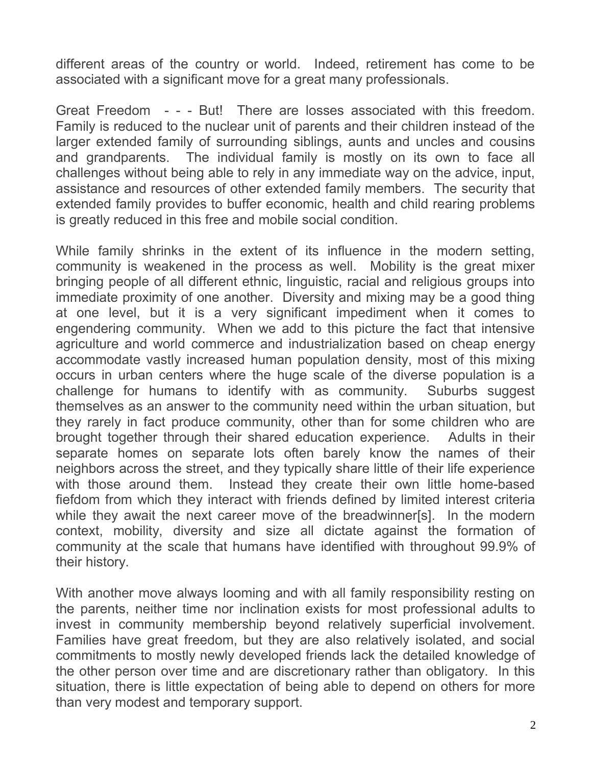different areas of the country or world. Indeed, retirement has come to be associated with a significant move for a great many professionals.

Great Freedom - - - But! There are losses associated with this freedom. Family is reduced to the nuclear unit of parents and their children instead of the larger extended family of surrounding siblings, aunts and uncles and cousins and grandparents. The individual family is mostly on its own to face all challenges without being able to rely in any immediate way on the advice, input, assistance and resources of other extended family members. The security that extended family provides to buffer economic, health and child rearing problems is greatly reduced in this free and mobile social condition.

While family shrinks in the extent of its influence in the modern setting, community is weakened in the process as well. Mobility is the great mixer bringing people of all different ethnic, linguistic, racial and religious groups into immediate proximity of one another. Diversity and mixing may be a good thing at one level, but it is a very significant impediment when it comes to engendering community. When we add to this picture the fact that intensive agriculture and world commerce and industrialization based on cheap energy accommodate vastly increased human population density, most of this mixing occurs in urban centers where the huge scale of the diverse population is a challenge for humans to identify with as community. Suburbs suggest themselves as an answer to the community need within the urban situation, but they rarely in fact produce community, other than for some children who are brought together through their shared education experience. Adults in their separate homes on separate lots often barely know the names of their neighbors across the street, and they typically share little of their life experience with those around them. Instead they create their own little home-based fiefdom from which they interact with friends defined by limited interest criteria while they await the next career move of the breadwinner[s]. In the modern context, mobility, diversity and size all dictate against the formation of community at the scale that humans have identified with throughout 99.9% of their history.

With another move always looming and with all family responsibility resting on the parents, neither time nor inclination exists for most professional adults to invest in community membership beyond relatively superficial involvement. Families have great freedom, but they are also relatively isolated, and social commitments to mostly newly developed friends lack the detailed knowledge of the other person over time and are discretionary rather than obligatory. In this situation, there is little expectation of being able to depend on others for more than very modest and temporary support.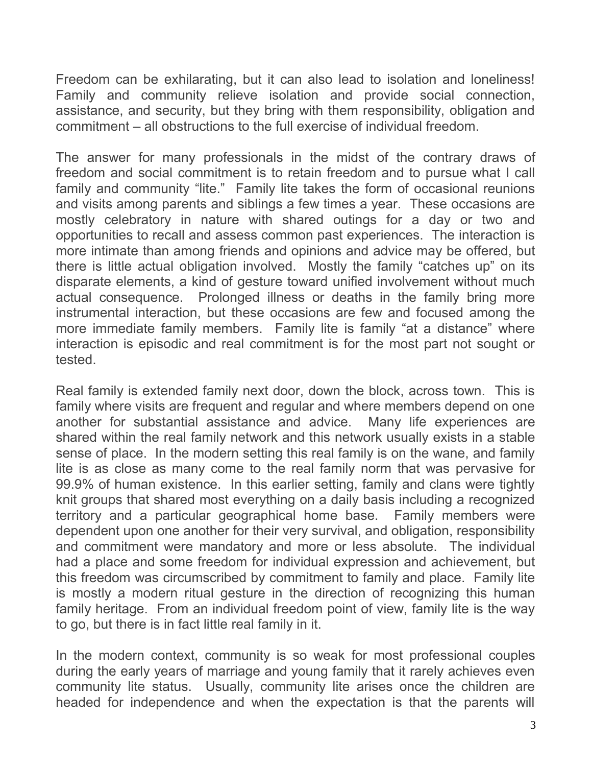Freedom can be exhilarating, but it can also lead to isolation and loneliness! Family and community relieve isolation and provide social connection, assistance, and security, but they bring with them responsibility, obligation and commitment – all obstructions to the full exercise of individual freedom.

The answer for many professionals in the midst of the contrary draws of freedom and social commitment is to retain freedom and to pursue what I call family and community "lite." Family lite takes the form of occasional reunions and visits among parents and siblings a few times a year. These occasions are mostly celebratory in nature with shared outings for a day or two and opportunities to recall and assess common past experiences. The interaction is more intimate than among friends and opinions and advice may be offered, but there is little actual obligation involved. Mostly the family "catches up" on its disparate elements, a kind of gesture toward unified involvement without much actual consequence. Prolonged illness or deaths in the family bring more instrumental interaction, but these occasions are few and focused among the more immediate family members. Family lite is family "at a distance" where interaction is episodic and real commitment is for the most part not sought or tested.

Real family is extended family next door, down the block, across town. This is family where visits are frequent and regular and where members depend on one another for substantial assistance and advice. Many life experiences are shared within the real family network and this network usually exists in a stable sense of place. In the modern setting this real family is on the wane, and family lite is as close as many come to the real family norm that was pervasive for 99.9% of human existence. In this earlier setting, family and clans were tightly knit groups that shared most everything on a daily basis including a recognized territory and a particular geographical home base. Family members were dependent upon one another for their very survival, and obligation, responsibility and commitment were mandatory and more or less absolute. The individual had a place and some freedom for individual expression and achievement, but this freedom was circumscribed by commitment to family and place. Family lite is mostly a modern ritual gesture in the direction of recognizing this human family heritage. From an individual freedom point of view, family lite is the way to go, but there is in fact little real family in it.

In the modern context, community is so weak for most professional couples during the early years of marriage and young family that it rarely achieves even community lite status. Usually, community lite arises once the children are headed for independence and when the expectation is that the parents will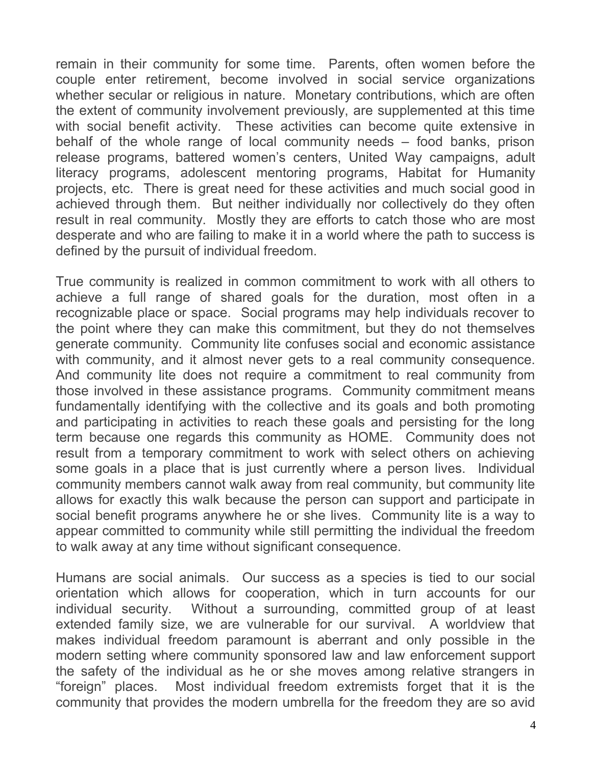remain in their community for some time. Parents, often women before the couple enter retirement, become involved in social service organizations whether secular or religious in nature. Monetary contributions, which are often the extent of community involvement previously, are supplemented at this time with social benefit activity. These activities can become quite extensive in behalf of the whole range of local community needs – food banks, prison release programs, battered women's centers, United Way campaigns, adult literacy programs, adolescent mentoring programs, Habitat for Humanity projects, etc. There is great need for these activities and much social good in achieved through them. But neither individually nor collectively do they often result in real community. Mostly they are efforts to catch those who are most desperate and who are failing to make it in a world where the path to success is defined by the pursuit of individual freedom.

True community is realized in common commitment to work with all others to achieve a full range of shared goals for the duration, most often in a recognizable place or space. Social programs may help individuals recover to the point where they can make this commitment, but they do not themselves generate community. Community lite confuses social and economic assistance with community, and it almost never gets to a real community consequence. And community lite does not require a commitment to real community from those involved in these assistance programs. Community commitment means fundamentally identifying with the collective and its goals and both promoting and participating in activities to reach these goals and persisting for the long term because one regards this community as HOME. Community does not result from a temporary commitment to work with select others on achieving some goals in a place that is just currently where a person lives. Individual community members cannot walk away from real community, but community lite allows for exactly this walk because the person can support and participate in social benefit programs anywhere he or she lives. Community lite is a way to appear committed to community while still permitting the individual the freedom to walk away at any time without significant consequence.

Humans are social animals. Our success as a species is tied to our social orientation which allows for cooperation, which in turn accounts for our individual security. Without a surrounding, committed group of at least extended family size, we are vulnerable for our survival. A worldview that makes individual freedom paramount is aberrant and only possible in the modern setting where community sponsored law and law enforcement support the safety of the individual as he or she moves among relative strangers in "foreign" places. Most individual freedom extremists forget that it is the community that provides the modern umbrella for the freedom they are so avid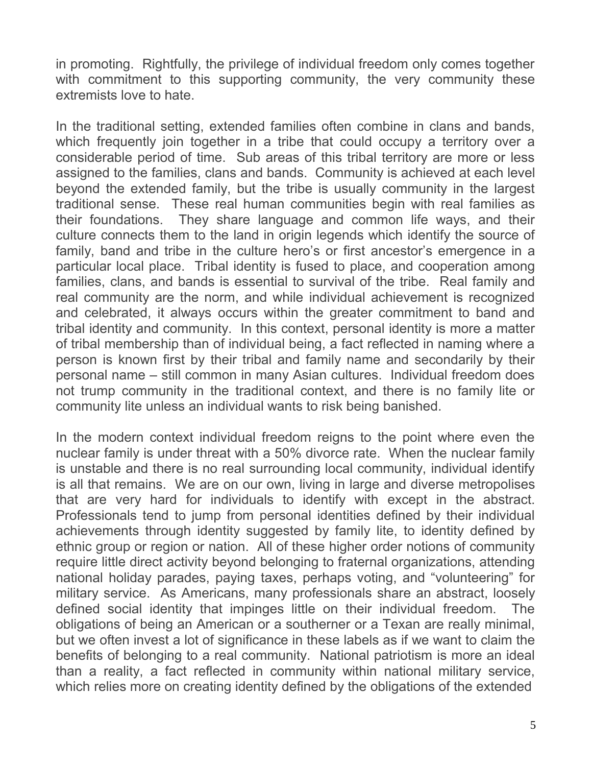in promoting. Rightfully, the privilege of individual freedom only comes together with commitment to this supporting community, the very community these extremists love to hate.

In the traditional setting, extended families often combine in clans and bands, which frequently join together in a tribe that could occupy a territory over a considerable period of time. Sub areas of this tribal territory are more or less assigned to the families, clans and bands. Community is achieved at each level beyond the extended family, but the tribe is usually community in the largest traditional sense. These real human communities begin with real families as their foundations. They share language and common life ways, and their culture connects them to the land in origin legends which identify the source of family, band and tribe in the culture hero's or first ancestor's emergence in a particular local place. Tribal identity is fused to place, and cooperation among families, clans, and bands is essential to survival of the tribe. Real family and real community are the norm, and while individual achievement is recognized and celebrated, it always occurs within the greater commitment to band and tribal identity and community. In this context, personal identity is more a matter of tribal membership than of individual being, a fact reflected in naming where a person is known first by their tribal and family name and secondarily by their personal name – still common in many Asian cultures. Individual freedom does not trump community in the traditional context, and there is no family lite or community lite unless an individual wants to risk being banished.

In the modern context individual freedom reigns to the point where even the nuclear family is under threat with a 50% divorce rate. When the nuclear family is unstable and there is no real surrounding local community, individual identify is all that remains. We are on our own, living in large and diverse metropolises that are very hard for individuals to identify with except in the abstract. Professionals tend to jump from personal identities defined by their individual achievements through identity suggested by family lite, to identity defined by ethnic group or region or nation. All of these higher order notions of community require little direct activity beyond belonging to fraternal organizations, attending national holiday parades, paying taxes, perhaps voting, and "volunteering" for military service. As Americans, many professionals share an abstract, loosely defined social identity that impinges little on their individual freedom. The obligations of being an American or a southerner or a Texan are really minimal, but we often invest a lot of significance in these labels as if we want to claim the benefits of belonging to a real community. National patriotism is more an ideal than a reality, a fact reflected in community within national military service, which relies more on creating identity defined by the obligations of the extended